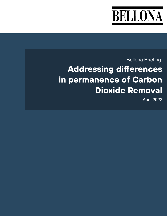

Bellona Briefing:

# **Addressing differences in permanence of Carbon Dioxide Removal**

April 2022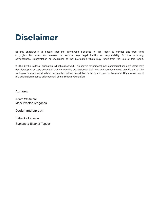# **Disclaimer**

Bellona endeavours to ensure that the information disclosed in this report is correct and free from copyrights but does not warrant or assume any legal liability or responsibility for the accuracy, completeness, interpretation or usefulness of the information which may result from the use of this report.

© 2022 by the Bellona Foundation. All rights reserved. This copy is for personal, non-commercial use only. Users may download, print or copy extracts of content from this publication for their own and non-commercial use. No part of this work may be reproduced without quoting the Bellona Foundation or the source used in this report. Commercial use of this publication requires prior consent of the Bellona Foundation.

#### **Authors:**

Adam Whitmore Mark Preston Aragonès

#### **Design and Layout:**

Rebecka Larsson Samantha Eleanor Tanzer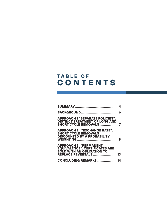# **TABLE OF CONTENTS**

|                                                                                                                                         | 4  |
|-----------------------------------------------------------------------------------------------------------------------------------------|----|
|                                                                                                                                         | 6  |
| <b>APPROACH 1 "SEPARATE POLICIES":</b><br><b>DISTINCT TREATMENT OF LONG AND</b><br><b>SHORT CYCLE REMOVALS</b>                          | 7  |
| <b>APPROACH 2: "EXCHANGE RATE":</b><br><b>SHORT CYCLE REMOVALS</b><br><b>DISCOUNTED BY A PROBABILITY</b>                                | 9  |
| <b>APPROACH 3: "PERMANENT</b><br><b>EQUIVALENCE", CERTIFICATES ARE</b><br><b>SOLD WITH AN OBLIGATION TO</b><br><b>REPLACE REVERSALS</b> | 13 |
| <b>CONCLUDING REMARKS</b>                                                                                                               | 14 |
|                                                                                                                                         |    |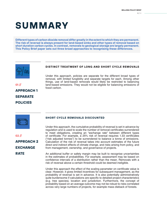# **SUMMARY**

**Different types of carbon dioxide removal differ greatly in the extent to which they are permanent. The risk of reversal is always present for land-based sinks and other types of removal based on short duration carbon cycles. In contrast, removals to geological storage are largely permanent. This Policy Brief paper sets out three broad approaches to recognising these differences.**



### **01 // APPROACH 1 SEPARATE POLICIES**

#### **DISTINCT TREATMENT OF LONG AND SHORT CYCLE REMOVALS**

Under this approach, policies are separate for the different broad types of removal, with limited fungibility and separate targets for each. Among other things, use of land-based removals would likely be restricted to balancing land-based emissions. They would not be eligible for balancing emissions of fossil carbon.



**02 // APPROACH 2 EXCHANGE RATE**

#### **SHORT CYCLE REMOVALS DISCOUNTED**

Under this approach, the cumulative probability of reversal is set in advance by regulation and is used to scale the number of removal certificates surrendered to meet obligations, creating an "exchange rate" between different types of certificate. For example, a 25% risk of reversal requires 1.33 certificates ("risk adjusted tonnes") to be surrendered to balance a tonne of emissions. Calculation of the risk of reversal takes into account estimates of the future direct and indirect effects of climate change, and risks arising from policy, and from management, ownership, and governance of projects.

An additional buffer or safety margin may be built to recognise uncertainties in the estimates of probabilities. For example, assessment may be based on confidence intervals of a distribution rather than the mean. Removals with a risk of reversal above a certain threshold could be deemed ineligible.

Under this approach the effect of the scaling parameter on certificate value is clear. However, it gives limited incentives for subsequent management, as the probability of reversal is set in advance. It is also potentially administratively quite burdensome if calculations are specific to detailed project characteristics (e.g. tree species), location and jurisdiction. Furthermore, the concept of probability based on an average outcome may not be robust to risks correlated across very large numbers of projects, for example mass dieback of forests.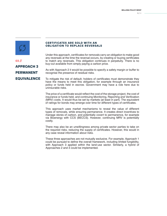

**03 //** 

#### **CERTIFICATES ARE SOLD WITH AN OBLIGATION TO REPLACE REVERSALS**

Under this approach, certificates for removals carry an obligation to make good any reversals at the time the reversal occurs, by creating or buying certificates to match any reversals. This obligation continues in perpetuity. There is no buy-out available from simply paying a carbon price.

**APPROACH 3 PERMANENT EQUIVALENCE**

As with Approach 2 it would be possible to specify a safety margin or buffer to recognise the presence of residual risks.

To mitigate the risk of default, holders of certificates must demonstrate they have the means to meet this obligation, for example through an insurance policy or funds held in escrow. Government may have a role here due to uninsurable risks.

The price of a certificate would reflect the cost of the storage project, the cost of insurance or funds held, and continuing Monitoring, Reporting and Verification (MRV) costs. It would thus be set by markets (at least in part). The equivalent of ratings for bonds may emerge over time for different types of certificates.

This approach uses market mechanisms to reveal the value of different types of removals, while ensuring permanence. It creates direct incentives to manage stores of carbon, and potentially covert to permanence, for example via Bioenergy with CCS (BECCS). However, continuing MRV is potentially costly.

There may also be an unwillingness among private sector parties to take on the required risks, reducing the supply of certificates. However, this would in any case reveal information about risks.

These three approaches are not mutually exclusive. For example, Approach 1 could be pursued to define the overall framework, including limited fungibility, with Approach 3 applied within the land-use sector. Similarly, a hybrid of Approaches 2 and 3 could be implemented.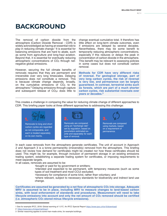# **BACKGROUND**

The removal of carbon dioxide from the atmosphere (Carbon Dioxide Removal - CDR) is widely acknowledged as having an essential role to play in reducing climate change.1 It is essential for balancing emissions that are hard to abate, such as some from agriculture and long-haul aviation. Beyond that, it is essential for eventually reducing atmospheric concentrations of  $CO<sub>2</sub>$  through netnegative global emissions.

However, securing the full climate benefits of removals requires that they are permanent and irreversible over very long timescales. Delaying emissions does not constitute a removal. This is because climate change depends, broadly, on the cumulative emissions of  $CO<sub>2</sub>$  to the atmosphere.<sup>2</sup> Delaying emissions through capture and subsequent release of  $CO<sub>2F</sub>$  does little to

change eventual cumulative total. It therefore has little effect on long-term climate outcomes, even if emissions are delayed by several decades. Nevertheless, there may be some benefit to temporarily reducing atmospheric concentrations, especially if this reduces or delays the peak in concentration of carbon dioxide in the atmosphere. This benefit may be relevant to assessing policies in some cases but does not constitute carbon removal.

**Methods for CDR have very different risks of reversal. For geological storage, part of very long carbon cycles, the risk of reversal is very low, and permanence can be largely guaranteed. In contrast, terrestrial sinks such as forests, which are part of a much shorter carbon cycles, risk substantial reversals over years or decades.3**

This creates a challenge in comparing the value for reducing climate change of different approaches to CDR. This briefing paper looks at three different approaches to addressing this challenge:



In each case removals from the atmosphere generate certificates. The unit of account in Approach 2 and Approach 3 is a tonne permanently (irreversibly) removed from the atmosphere. This briefing does not review how demand for certificates might be created nor how these certificates should be used. This might be, for example, through inclusion of permanent storage in an existing emissions trading system, establishing a separate trading system for certificates, or imposing requirements to meet separate targets.

In all cases, removals are assumed to be:

•bought or paid for by government or emitters;

•intended and expected to be permanent, with temporary measures (such as some types of soil treatment and most CCU) excluded;

•necessary for compliance of some kind, rather than voluntary; and

•where relevant, subject to necessary standards for biodiversity and indirect land use change.

**Certificates are assumed be generated by a net flow of atmospheric CO2 into storage. Adequate MRV is assumed to be in place, including MRV to measure changes to land-based carbon sinks, with local enforcement of standards and procedures. Measurement will need to take lifecycle emissions into account and only the net amount of CO2 removed should be certified (i.e. atmospheric CO2 stored minus lifecycle emissions).**

<sup>1</sup> See for example IPCC, 2018: Global warming of 1.5°C. An IPCC Special Report https://www.ipcc.ch/sr15/download/

<sup>2</sup> https://www.ipcc.ch/report/ar6/wg1/

<sup>3</sup> Similar reasoning applies to some man-made sinks, for example buildings.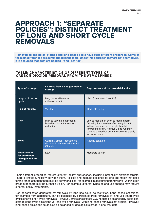# **APPROACH 1: "SEPARATE POLICIES": DISTINCT TREATMENT OF LONG AND SHORT CYCLE REMOVALS**

**Removals to geological storage and land-based sinks have quite different properties. Some of the main differences are summarised in the table. Under this approach they are not alternatives. It is assumed that both are needed ("and" not "or").** 

#### **TABLE: CHARACTERISTICS OF DIFFERENT TYPES OF CARBON DIOXIDE REMOVAL FROM THE ATMOSPHERE**

| <b>Type of storage</b>                                              | Capture from air to geological<br>storage                                    | <b>Capture from air to terrestrial sinks</b>                                                                                                                                                                                               |
|---------------------------------------------------------------------|------------------------------------------------------------------------------|--------------------------------------------------------------------------------------------------------------------------------------------------------------------------------------------------------------------------------------------|
| <b>Length of carbon</b><br>cycle                                    | Long (Many millennia to<br>millions of years)                                | Short (decades or centuries)                                                                                                                                                                                                               |
| <b>Risk of reversal</b>                                             | Very low                                                                     | Moderate to high                                                                                                                                                                                                                           |
| Cost                                                                | High to very high at present<br>but with substantial scope for<br>reduction. | Low to medium in short to medium term<br>(allowing for some benefits being distant<br>in time because, for example time taken<br>for trees to grow). However, long run MRV<br>costs and need for permanence may greatly<br>increase costs. |
| <b>Scale</b>                                                        | Currently small - about three<br>decades likely needed to reach<br>Gt scale  | <b>Readily scalable</b>                                                                                                                                                                                                                    |
| <b>Requirement</b><br>for continued<br>management and<br><b>MRV</b> | Low                                                                          | Moderate to high                                                                                                                                                                                                                           |

Their different properties require different policy approaches, including potentially different targets. There is limited fungibility between them. Policies and markets designed for one are mostly not used for the other, although there may be commonalities, for example in accounting frameworks. Within each broad type there may be further division. For example, different types of land use change may require different policy instruments.

Use of certificates generated by removals by land use could be restricted. Land based emissions, for example from agriculture, can be balanced by certificates from removals by land use (short cycle emissions vs. short cycle removals). However, emissions of fossil  $CO<sub>2</sub>$  need to be balanced by geological storage (long cycle emissions vs. long cycle removals), with land-based removals not eligible. However, land-based emissions could also be balanced by geological storage: a one-way gate.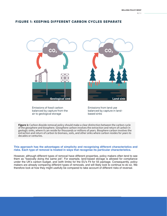#### **FIGURE 1: KEEPING DIFFERENT CARBON CYCLES SEPARATE**



Emissions of fossil carbon balanced by capture from the air to geological storage

Emissions from land use balanced by capture in landbased sinks

**Figure 1:** Carbon dioxide removal policy should make a clear distinction between the carbon cycle of the geosphere and biosphere. Geosphere carbon involves the extraction and return of carbon in geologic sinks, where it can reside for thousands or millions of years. Biosphere carbon involves the extraction and return of carbon to biomass, soils, and other sinks where carbon resides for years to decades or centuries.

#### **This approach has the advantages of simplicity and recognising different characteristics and risks. Each type of removal is treated in ways that recognise its particular characteristics.**

However, although different types of removal have different properties, policy makers often tend to see them as "basically doing the same job". For example, land-based storage is allowed for compliance under the UK's carbon budget, and (with limits) for the EU's Fit for 55 package. Consequently, policy makers are already comparing different types of removals, and will likely look to continue to do so. We therefore look at how they might usefully be compared to take account of different risks of reversal.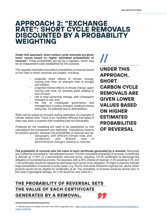# **APPROACH 2: "EXCHANGE RATE": SHORT CYCLE REMOVALS DISCOUNTED BY A PROBABILITY WEIGHTING**

**Under this approach, short carbon cycle removals are given lower values based on higher estimated probabilities of reversal.**<sup>4</sup> These probabilities are set by a regulator, which may be an independent body established for this purpose.

The regulator estimates cumulative probabilities of reversal based on the risks to which removals are subject, including:

- projected direct effects of climate change, varying over time, for example risks of drought and wildfire;
- projected indirect effects of climate change, again varying over time, for example pests leading to loss of trees;
- risk of land ownership change, with consequent changes to use; and
- the risk of inadequate governance and management, or policy changes, leading to stores being lost, for example due to deforestation.

Risks will be based on forward looking estimates, for example of climate related risks. There is an inevitable difficulty that types of risks may arise in practice that modelling had not anticipated.

Protocols for the modelling will need to be established so that calculations are transparent and replicable. Calculations need to be location specific, because the probabilities of reversal vary by:

- Geography, with different climate risks; and<br>Jurisdiction. with different risks c
- Jurisdiction, with different risks of administrative changes leading to reversal.

**UNDER THIS APPROACH, SHORT CARBON CYCLE REMOVALS ARE GIVEN LOWER VALUES BASED ON HIGHER ESTIMATED PROBABILITIES OF REVERSAL**

**//**

**The probability of reversal sets the value of each certificate generated by a removal.** Removals are in effect be converted to "risk adjusted tonnes". R is the cumulative probability of reversal. A certificate is defined as  $(1-R)\%$  of a permanently removed tonne, requiring  $1/(1-R)$  certificates to discharge the obligation of surrendering a tonne. For example, with a 25% chance of reversal, (1-R) would be 0.75, and 1.33 certificates would be needed be discharge each tonne of an obligation. R might in practice indicate large probabilities of reversal in some cases, e.g. R=0.9, and some threshold might be set, above which projects would not be eligible for certificates at all. The probability of reversal would be almost zero in the case of geological storage, so (1-R) would be very close to 1.

### **THE PROBABILITY OF REVERSAL SETS THE VALUE OF EACH CERTIFICATE GENERATED BY A REMOVAL.**

<sup>4</sup> Related ideas of multiple surrender have been suggested here: https://carbon-direct.com/2022/02/accounting-for-short-term-durability-incarbon-offsetting/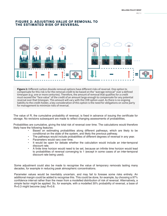#### **FIGURE 2: ADJUSTING VALUE OF REMOVAL TO THE ESTIMATED RISK OF REVERSAL**



**Figure 2:** Different carbon dioxide removal options have different risks of reversal. One option to compensate for this risk is for the removal credit to be based on the "average removal" over a defined timespan (e.g. one or more centuries). Therefore, the amount of removal that qualifies for a credit must exceed the "face value" of the credit of an amount large enough to compensate for any potential reversal over that timespan. This amount will vary with the CDR option used. As there is no ongoing liability to the credit-holder, a key consideration of this option is the need for obligations on some party for management to minimize risks of reversal.

The value of R, the cumulative probability of reversal, is fixed in advance of issuing the certificate for storage. No revisions subsequent are made to reflect changing assessments of probabilities.

Probabilities are cumulative, giving the total risk of reversal over time. The calculations would therefore likely have the following features:

- Based on estimating probabilities along different pathways, which are likely to be conditional on the state of the system, and likely the previous pathway.
- The pathways would include probabilities of different degrees of reversal in any year.
- Parameters would vary over time.
- It would be open for debate whether the calculation would include an inter-temporal discount rate.
- A finite time horizon would need to be set, because an infinite time horizon would lead to probabilities of reversal converging to 1 (except in some cases of an inter-temporal discount rate being used).

Some adjustment could also be made to recognise the value of temporary removals lasting many decades, for example in reducing peak atmospheric concentrations.

Parameter values would be inevitably uncertain, and may fail to foresee some risks entirely. An additional margin could be added to recognise this. This could be done, for example, by choosing a 97% confidence interval rather than the mean from a modelled distribution of risk of reversal. Alternatively, a simple factor might be applied. So, for example, with a modelled 30% probability of reversal, a base of  $R=0.3$  might become (say)  $R=0.6$ .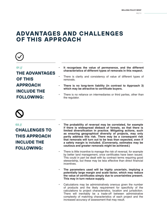# **ADVANTAGES AND CHALLENGES OF THIS APPROACH**



#### **01 //**

**THE ADVANTAGES OF THIS APPROACH INCLUDE THE FOLLOWING:**

- **• It recognises the value of permanence, and the different characteristics of different types of removals in this respect.**
- There is clarity and consistency of value of different types of removals.
- **• There is no long-term liability (in contrast to Approach 3) which may be attractive to certificate buyers.**
- There is no reliance on intermediaries or third parties, other than the regulator.



**02 // CHALLENGES TO THIS APPROACH INCLUDE THE FOLLOWING:**

- **• The probability of reversal may be correlated, for example if there is widespread dieback of forests, so that there is limited diversification in practice. Mitigating actions, such as ensuring geographical diversity of projects, may only partly address this risk. There may be a consequent risk that removals will turn out to be less than expected, even if a safety margin is included. (Conversely, estimates may be cautious and greater removals might be achieved.)**
- There is little incentive to manage the risk of reversal, for example by better land management, once certificates have been issued. This could in part be dealt with by contract terms requiring good stewardship, but these may be less effective than direct financial incentives.
- **• The parameters used will be highly uncertain, implying a potentially large margin and scale factor, which may reduce the value of certificates simply due to uncertainties present. This may in turn reduce supply.**
- Calculations may be administratively onerous given the number of products and the likely requirement for specificity of the calculations to project characteristics, location and jurisdiction. There will inevitably be a trade-off between administrative complexity of matching characteristics of each project and the increased accuracy of assessment that may result.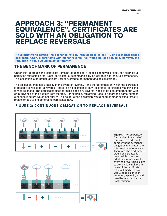# **APPROACH 3: "PERMANENT CE". CERTIFICATES ARE OBLIGATION TO REPLACE REVERSALS**

**An alternative to setting the exchange rate by regulation is to set it using a market-based approach. Again, a certificate with higher reversal risk would be less valuable. However, the reduction in value would be set differently.**

#### **THE BENCHMARK OF PERMANENCE**

Under this approach the certificate remains attached to a specific removal project, for example a particular reforested area. Each certificate is accompanied by an obligation to ensure permanence. This obligation is perpetual (at least until converted to permanent geological storage).

The obligation imposes a liability in the event of reversal. If the stored tonnes on which the certificate is based are released (a reversal) there is an obligation to buy (or create) certificates matching the tonnes released. The certificates used to make good any reversal need to be contemporaneous with or in advance of the outflow from storage. For example, replanting trees to absorb the same number of tonnes in future would not qualify. The holder of the obligation would need another existing forestry project or equivalent generating certificates now.

#### **FIGURE 3: CONTINUOUS OBLIGATION TO REPLACE REVERSALS**



**Figure 3:** To compensate for the risk of reversal of removals, a credit could come with the permanent obligation to maintain the total amount of removals. Therefore, the creditholder would be perpetually responsible to ensure additional removals in the event of a reversals. Failure to do so would nullify the value of the certificate. If the nullified certificate was used to balance an emission, a penalty would need be incurred for that past emission.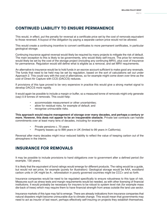#### **CONTINUED LIABILITY TO ENSURE PERMANENCE**

This would, in effect, put the penalty for reversal at a certificate price set by the cost of removals equivalent to those reversed. A buyout of the obligation by paying a separate carbon price would not be allowed.

This would create a continuing incentive to convert certificates to more permanent certificates, in particular geological storage.

Continuing insurance against reversal would likely be required by many projects to mitigate the risk of default. The main exception to this is likely to be governments, who would likely self-insure. The price for removals would likely be set by the cost of the storage project (including any continuing MRV), plus cost of insurance for permanence. Regulation would still define what is eligible as a removal, and set MRV requirements.

An alternative to insurance would be to hold funds in an escrow account sufficient to make good any reversals. The funds that need to be held may be set by regulation, based on the sort of calculations set out under Approach 2. This could vary with the cost of alternatives, so for example might come down over time as the cost of Direct Air Capture with CCS (DACCS) reduces.

If provisions of this type proved to be very expensive in practice this would give a strong market signal to develop DACCS more rapidly.

It would again be possible to include a margin or buffer, so a measured tonne of removals might only generate (say) 0.9 tonnes of removals. This could help:

- accommodate measurement or other uncertainties;
- allow for residual risks, for example of default; and
- recognise uninsurable risks.

**This approach would require management of storage over many decades, and perhaps a century or more. However, this does not appear to be an insuperable obstacle.** Private law contracts can handle commitments over at least many tens of decades, including for example:

- Private pensions c. 70 years
- Property leases up to 999 years in UK (limited to 99 years in California).

Reversal after many decades might incur reduced liability to reflect the value of keeping carbon out of the atmosphere in the interim.

#### **INSURANCE FOR REMOVALS**

It may be possible to include provisions to hand obligations over to government after a defined period (for example, 130 years).

It is likely that the equivalent of bond ratings would emerge for different products. The rating would be a guide, but would not set price, for example (purely for illustration): Geological storage would be AAA, woodland carbon units in UK might be A-, reforestation in poorly governed countries might be CCC+ and so forth.

Insurance companies would be need to be regulated specifically to ensure robustness to this type of risk. Measures such as stress tests and margin requirements would be needed, as with other licensing of financial institutions. It would probably be necessary for insurers to be robust to system level risk (for example mass die-back of trees) which may require them to have financial strength from areas outside the land use sector.

Insurance markets of this type may fail to emerge. There are already indications from insurance companies that natural disasters might become uninsurable due to climate change. This would mean that governments may need to act as insurer of last resort, perhaps effectively self-insuring on projects they establish themselves.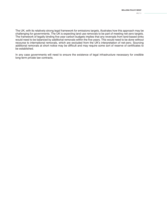The UK, with its relatively strong legal framework for emissions targets, illustrates how this approach may be challenging for governments. The UK is expecting land use removals to be part of meeting net-zero targets. The framework of legally binding five year carbon budgets implies that any reversals from land-based sinks would need to be balanced by additional removals within the five years. This would need to be done without recourse to international removals, which are excluded from the UK's interpretation of net-zero. Sourcing additional removals at short notice may be difficult and may require some sort of reserve of certificates to be established.

In any case governments will need to ensure the existence of legal infrastructure necessary for credible long-term private law contracts.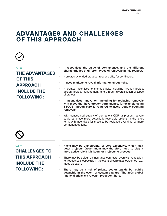# **ADVANTAGES AND CHALLENGES OF THIS APPROACH**



#### **01 //**

### **THE ADVANTAGES OF THIS APPROACH INCLUDE THE FOLLOWING:**

- **• It recognises the value of permanence, and the different characteristics of different types of removals in this respect.**
- It creates extended producer responsibility for certificates.
- **• It uses markets to reveal information about risks.**
- It creates incentives to manage risks including through project design, project management, and through diversification of types of project.
- **• It incentivises innovation, including for replacing removals with types that have greater permanence, for example using BECCS (though care is required to avoid double counting removals).**
- With constrained supply of permanent CDR at present, buyers could purchase more potentially reversible options in the short term, with incentives for these to be replaced over time by more permanent options.



#### **02 //**

**CHALLENGES TO THIS APPROACH INCLUDE THE FOLLOWING:**

- **• Risks may be uninsurable, or very expensive, which may deter projects. Government may therefore need to play a more active role if it is keen for projects to proceed.**
- There may be default on insurance contracts, even with regulation for robustness, especially in the event of correlated outcomes (e.g. mass dieback).
- **• There may be a risk of private sector upside but public downside in the event of systemic failure. The 2008 global financial crisis is a relevant precedent here.**